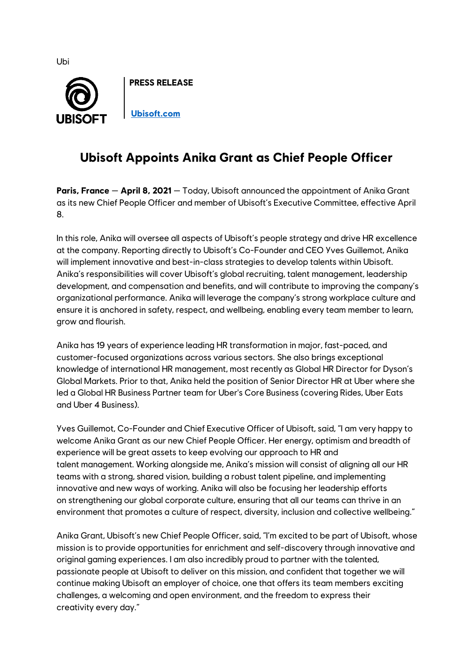

## **Ubisoft Appoints Anika Grant as Chief People Officer**

**Paris, France** — **April 8, 2021** — Today, Ubisoft announced the appointment of Anika Grant as its new Chief People Officer and member of Ubisoft's Executive Committee, effective April 8.

In this role, Anika will oversee all aspects of Ubisoft's people strategy and drive HR excellence at the company. Reporting directly to Ubisoft's Co-Founder and CEO Yves Guillemot, Anika will implement innovative and best-in-class strategies to develop talents within Ubisoft. Anika's responsibilities will cover Ubisoft's global recruiting, talent management, leadership development, and compensation and benefits, and will contribute to improving the company's organizational performance. Anika will leverage the company's strong workplace culture and ensure it is anchored in safety, respect, and wellbeing, enabling every team member to learn, grow and flourish.

Anika has 19 years of experience leading HR transformation in major, fast-paced, and customer-focused organizations across various sectors. She also brings exceptional knowledge of international HR management, most recently as Global HR Director for Dyson's Global Markets. Prior to that, Anika held the position of Senior Director HR at Uber where she led a Global HR Business Partner team for Uber's Core Business (covering Rides, Uber Eats and Uber 4 Business).

Yves Guillemot, Co-Founder and Chief Executive Officer of Ubisoft, said, "I am very happy to welcome Anika Grant as our new Chief People Officer. Her energy, optimism and breadth of experience will be great assets to keep evolving our approach to HR and talent management. Working alongside me, Anika's mission will consist of aligning all our HR teams with a strong, shared vision, building a robust talent pipeline, and implementing innovative and new ways of working. Anika will also be focusing her leadership efforts on strengthening our global corporate culture, ensuring that all our teams can thrive in an environment that promotes a culture of respect, diversity, inclusion and collective wellbeing."

Anika Grant, Ubisoft's new Chief People Officer, said, "I'm excited to be part of Ubisoft, whose mission is to provide opportunities for enrichment and self-discovery through innovative and original gaming experiences. I am also incredibly proud to partner with the talented, passionate people at Ubisoft to deliver on this mission, and confident that together we will continue making Ubisoft an employer of choice, one that offers its team members exciting challenges, a welcoming and open environment, and the freedom to express their creativity every day."

Ubi